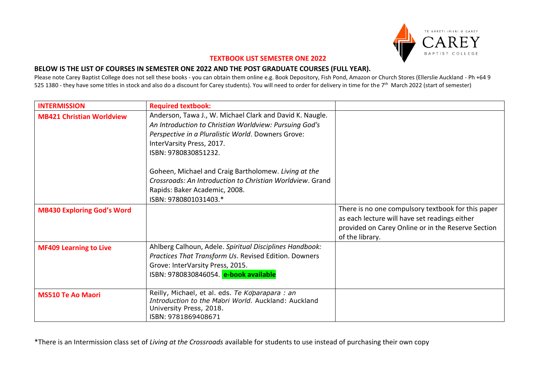

## **TEXTBOOK LIST SEMESTER ONE 2022**

## **BELOW IS THE LIST OF COURSES IN SEMESTER ONE 2022 AND THE POST GRADUATE COURSES (FULL YEAR).**

Please note Carey Baptist College does not sell these books - you can obtain them online e.g. Book Depository, Fish Pond, Amazon or Church Stores (Ellerslie Auckland - Ph +64 9 525 1380 - they have some titles in stock and also do a discount for Carey students). You will need to order for delivery in time for the 7<sup>th</sup> March 2022 (start of semester)

| <b>INTERMISSION</b>               | <b>Required textbook:</b>                                                                                                                                                                                                     |                                                                                                                                                                              |
|-----------------------------------|-------------------------------------------------------------------------------------------------------------------------------------------------------------------------------------------------------------------------------|------------------------------------------------------------------------------------------------------------------------------------------------------------------------------|
| <b>MB421 Christian Worldview</b>  | Anderson, Tawa J., W. Michael Clark and David K. Naugle.<br>An Introduction to Christian Worldview: Pursuing God's<br>Perspective in a Pluralistic World. Downers Grove:<br>InterVarsity Press, 2017.<br>ISBN: 9780830851232. |                                                                                                                                                                              |
|                                   | Goheen, Michael and Craig Bartholomew. Living at the<br>Crossroads: An Introduction to Christian Worldview. Grand<br>Rapids: Baker Academic, 2008.<br>ISBN: 9780801031403.*                                                   |                                                                                                                                                                              |
| <b>MB430 Exploring God's Word</b> |                                                                                                                                                                                                                               | There is no one compulsory textbook for this paper<br>as each lecture will have set readings either<br>provided on Carey Online or in the Reserve Section<br>of the library. |
| <b>MF409 Learning to Live</b>     | Ahlberg Calhoun, Adele. Spiritual Disciplines Handbook:<br>Practices That Transform Us. Revised Edition. Downers<br>Grove: InterVarsity Press, 2015.<br>ISBN: 9780830846054. e-book available                                 |                                                                                                                                                                              |
| <b>MS510 Te Ao Maori</b>          | Reilly, Michael, et al. eds. Te Koparapara : an<br>Introduction to the Maori World, Auckland: Auckland<br>University Press, 2018.<br>ISBN: 9781869408671                                                                      |                                                                                                                                                                              |

\*There is an Intermission class set of *Living at the Crossroads* available for students to use instead of purchasing their own copy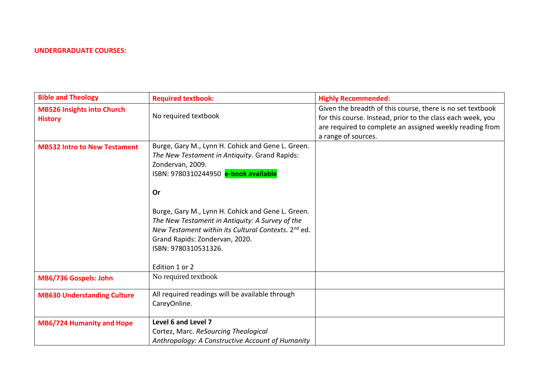## **UNDERGRADUATE COURSES:**

| <b>Bible and Theology</b>                           | <b>Required textbook:</b>                                                                                                                                                                                                                                                                                                                       | <b>Highly Recommended:</b>                                                                                                                                                                                   |
|-----------------------------------------------------|-------------------------------------------------------------------------------------------------------------------------------------------------------------------------------------------------------------------------------------------------------------------------------------------------------------------------------------------------|--------------------------------------------------------------------------------------------------------------------------------------------------------------------------------------------------------------|
| <b>MB526 Insights into Church</b><br><b>History</b> | No required textbook                                                                                                                                                                                                                                                                                                                            | Given the breadth of this course, there is no set textbook<br>for this course. Instead, prior to the class each week, you<br>are required to complete an assigned weekly reading from<br>a range of sources. |
| <b>MB532 Intro to New Testament</b>                 | Burge, Gary M., Lynn H. Cohick and Gene L. Green.<br>The New Testament in Antiquity. Grand Rapids:<br>Zondervan, 2009.<br>ISBN: 9780310244950 e-book available<br>Or<br>Burge, Gary M., Lynn H. Cohick and Gene L. Green.<br>The New Testament in Antiquity: A Survey of the<br>New Testament within its Cultural Contexts. 2 <sup>nd</sup> ed. |                                                                                                                                                                                                              |
|                                                     | Grand Rapids: Zondervan, 2020.<br>ISBN: 9780310531326.<br>Edition 1 or 2                                                                                                                                                                                                                                                                        |                                                                                                                                                                                                              |
| MB6/736 Gospels: John                               | No required textbook                                                                                                                                                                                                                                                                                                                            |                                                                                                                                                                                                              |
| <b>MB630 Understanding Culture</b>                  | All required readings will be available through<br>CareyOnline.                                                                                                                                                                                                                                                                                 |                                                                                                                                                                                                              |
| <b>MB6/724 Humanity and Hope</b>                    | Level 6 and Level 7<br>Cortez, Marc. ReSourcing Theological<br>Anthropology: A Constructive Account of Humanity                                                                                                                                                                                                                                 |                                                                                                                                                                                                              |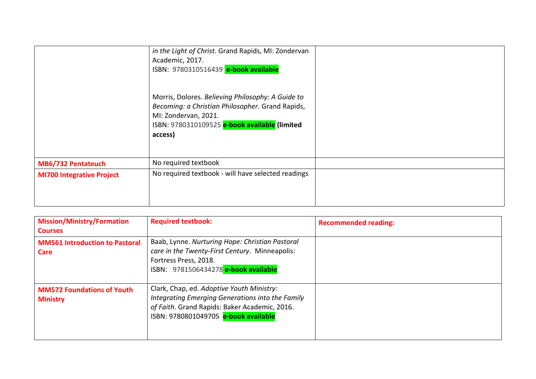|                                  | in the Light of Christ. Grand Rapids, MI: Zondervan<br>Academic, 2017.<br>ISBN: 9780310516439 e-book available                                                                            |  |
|----------------------------------|-------------------------------------------------------------------------------------------------------------------------------------------------------------------------------------------|--|
|                                  | Morris, Dolores. Believing Philosophy: A Guide to<br>Becoming: a Christian Philosopher. Grand Rapids,<br>MI: Zondervan, 2021.<br>ISBN: 9780310109525 e-book available (limited<br>access) |  |
| MB6/732 Pentateuch               | No required textbook                                                                                                                                                                      |  |
| <b>MI700 Integrative Project</b> | No required textbook - will have selected readings                                                                                                                                        |  |

| <b>Mission/Ministry/Formation</b><br><b>Courses</b>  | <b>Required textbook:</b>                                                                                                                                                              | <b>Recommended reading:</b> |
|------------------------------------------------------|----------------------------------------------------------------------------------------------------------------------------------------------------------------------------------------|-----------------------------|
| <b>MM561 Introduction to Pastoral</b><br>Care        | Baab, Lynne. Nurturing Hope: Christian Pastoral<br>care in the Twenty-First Century. Minneapolis:<br>Fortress Press, 2018.<br>ISBN: 9781506434278 e-book available                     |                             |
| <b>MM572 Foundations of Youth</b><br><b>Ministry</b> | Clark, Chap, ed. Adoptive Youth Ministry:<br>Integrating Emerging Generations into the Family<br>of Faith. Grand Rapids: Baker Academic, 2016.<br>ISBN: 9780801049705 e-book available |                             |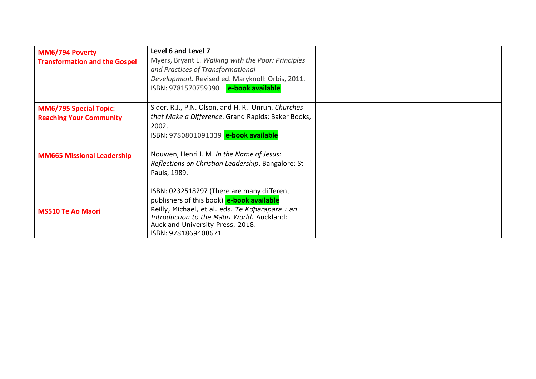| MM6/794 Poverty<br><b>Transformation and the Gospel</b>         | Level 6 and Level 7<br>Myers, Bryant L. Walking with the Poor: Principles<br>and Practices of Transformational<br>Development. Revised ed. Maryknoll: Orbis, 2011.<br>ISBN: 9781570759390 e-book available |  |
|-----------------------------------------------------------------|------------------------------------------------------------------------------------------------------------------------------------------------------------------------------------------------------------|--|
| <b>MM6/795 Special Topic:</b><br><b>Reaching Your Community</b> | Sider, R.J., P.N. Olson, and H. R. Unruh. Churches<br>that Make a Difference. Grand Rapids: Baker Books,<br>2002.<br>ISBN: 9780801091339 e-book available                                                  |  |
| <b>MM665 Missional Leadership</b>                               | Nouwen, Henri J. M. In the Name of Jesus:<br>Reflections on Christian Leadership. Bangalore: St<br>Pauls, 1989.<br>ISBN: 0232518297 (There are many different<br>publishers of this book) e-book available |  |
| <b>MS510 Te Ao Maori</b>                                        | Reilly, Michael, et al. eds. Te Koparapara : an<br>Introduction to the Maori World, Auckland:<br>Auckland University Press, 2018.<br>ISBN: 9781869408671                                                   |  |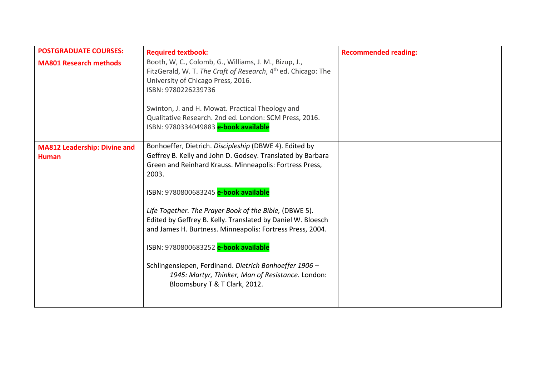| <b>POSTGRADUATE COURSES:</b>                        | <b>Required textbook:</b>                                                                                                                                                                                                                                                                                                                                                                                                                                                                                                                                                                                      | <b>Recommended reading:</b> |
|-----------------------------------------------------|----------------------------------------------------------------------------------------------------------------------------------------------------------------------------------------------------------------------------------------------------------------------------------------------------------------------------------------------------------------------------------------------------------------------------------------------------------------------------------------------------------------------------------------------------------------------------------------------------------------|-----------------------------|
| <b>MA801 Research methods</b>                       | Booth, W, C., Colomb, G., Williams, J. M., Bizup, J.,<br>FitzGerald, W. T. The Craft of Research, 4 <sup>th</sup> ed. Chicago: The<br>University of Chicago Press, 2016.<br>ISBN: 9780226239736<br>Swinton, J. and H. Mowat. Practical Theology and<br>Qualitative Research. 2nd ed. London: SCM Press, 2016.<br>ISBN: 9780334049883 e-book available                                                                                                                                                                                                                                                          |                             |
| <b>MA812 Leadership: Divine and</b><br><b>Human</b> | Bonhoeffer, Dietrich. Discipleship (DBWE 4). Edited by<br>Geffrey B. Kelly and John D. Godsey. Translated by Barbara<br>Green and Reinhard Krauss. Minneapolis: Fortress Press,<br>2003.<br>ISBN: 9780800683245 e-book available<br>Life Together. The Prayer Book of the Bible, (DBWE 5).<br>Edited by Geffrey B. Kelly. Translated by Daniel W. Bloesch<br>and James H. Burtness. Minneapolis: Fortress Press, 2004.<br>ISBN: 9780800683252 e-book available<br>Schlingensiepen, Ferdinand. Dietrich Bonhoeffer 1906 -<br>1945: Martyr, Thinker, Man of Resistance. London:<br>Bloomsbury T & T Clark, 2012. |                             |